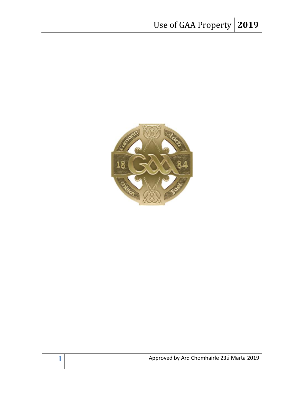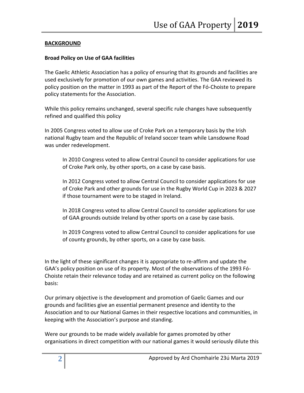### **BACKGROUND**

### **Broad Policy on Use of GAA facilities**

The Gaelic Athletic Association has a policy of ensuring that its grounds and facilities are used exclusively for promotion of our own games and activities. The GAA reviewed its policy position on the matter in 1993 as part of the Report of the Fó-Choiste to prepare policy statements for the Association.

While this policy remains unchanged, several specific rule changes have subsequently refined and qualified this policy

In 2005 Congress voted to allow use of Croke Park on a temporary basis by the Irish national Rugby team and the Republic of Ireland soccer team while Lansdowne Road was under redevelopment.

In 2010 Congress voted to allow Central Council to consider applications for use of Croke Park only, by other sports, on a case by case basis.

In 2012 Congress voted to allow Central Council to consider applications for use of Croke Park and other grounds for use in the Rugby World Cup in 2023 & 2027 if those tournament were to be staged in Ireland.

In 2018 Congress voted to allow Central Council to consider applications for use of GAA grounds outside Ireland by other sports on a case by case basis.

In 2019 Congress voted to allow Central Council to consider applications for use of county grounds, by other sports, on a case by case basis.

In the light of these significant changes it is appropriate to re-affirm and update the GAA's policy position on use of its property. Most of the observations of the 1993 Fó-Choiste retain their relevance today and are retained as current policy on the following basis:

Our primary objective is the development and promotion of Gaelic Games and our grounds and facilities give an essential permanent presence and identity to the Association and to our National Games in their respective locations and communities, in keeping with the Association's purpose and standing.

Were our grounds to be made widely available for games promoted by other organisations in direct competition with our national games it would seriously dilute this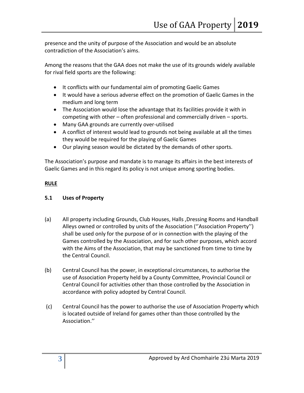presence and the unity of purpose of the Association and would be an absolute contradiction of the Association's aims.

Among the reasons that the GAA does not make the use of its grounds widely available for rival field sports are the following:

- It conflicts with our fundamental aim of promoting Gaelic Games
- It would have a serious adverse effect on the promotion of Gaelic Games in the medium and long term
- The Association would lose the advantage that its facilities provide it with in competing with other – often professional and commercially driven – sports.
- Many GAA grounds are currently over-utilised
- A conflict of interest would lead to grounds not being available at all the times they would be required for the playing of Gaelic Games
- Our playing season would be dictated by the demands of other sports.

The Association's purpose and mandate is to manage its affairs in the best interests of Gaelic Games and in this regard its policy is not unique among sporting bodies.

## **RULE**

## **5.1 Uses of Property**

- (a) All property including Grounds, Club Houses, Halls ,Dressing Rooms and Handball Alleys owned or controlled by units of the Association (''Association Property'') shall be used only for the purpose of or in connection with the playing of the Games controlled by the Association, and for such other purposes, which accord with the Aims of the Association, that may be sanctioned from time to time by the Central Council.
- (b) Central Council has the power, in exceptional circumstances, to authorise the use of Association Property held by a County Committee, Provincial Council or Central Council for activities other than those controlled by the Association in accordance with policy adopted by Central Council.
- (c) Central Council has the power to authorise the use of Association Property which is located outside of Ireland for games other than those controlled by the Association.''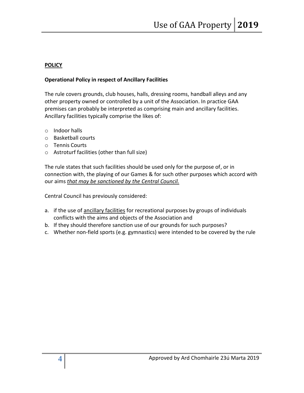## **POLICY**

# **Operational Policy in respect of Ancillary Facilities**

The rule covers grounds, club houses, halls, dressing rooms, handball alleys and any other property owned or controlled by a unit of the Association. In practice GAA premises can probably be interpreted as comprising main and ancillary facilities. Ancillary facilities typically comprise the likes of:

- o Indoor halls
- o Basketball courts
- o Tennis Courts
- o Astroturf facilities (other than full size)

The rule states that such facilities should be used only for the purpose of, or in connection with, the playing of our Games & for such other purposes which accord with our aims *that may be sanctioned by the Central Council.*

Central Council has previously considered:

- a. if the use of ancillary facilities for recreational purposes by groups of individuals conflicts with the aims and objects of the Association and
- b. If they should therefore sanction use of our grounds for such purposes?
- c. Whether non-field sports (e.g. gymnastics) were intended to be covered by the rule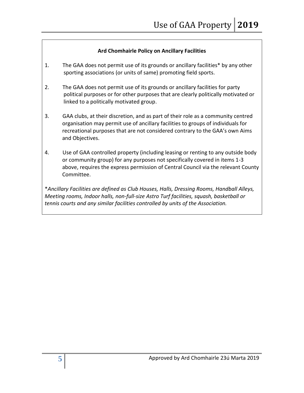## **Ard Chomhairle Policy on Ancillary Facilities**

- 1. The GAA does not permit use of its grounds or ancillary facilities\* by any other sporting associations (or units of same) promoting field sports.
- 2. The GAA does not permit use of its grounds or ancillary facilities for party political purposes or for other purposes that are clearly politically motivated or linked to a politically motivated group.
- 3. GAA clubs, at their discretion, and as part of their role as a community centred organisation may permit use of ancillary facilities to groups of individuals for recreational purposes that are not considered contrary to the GAA's own Aims and Objectives.
- 4. Use of GAA controlled property (including leasing or renting to any outside body or community group) for any purposes not specifically covered in items 1-3 above, requires the express permission of Central Council via the relevant County Committee.

\**Ancillary Facilities are defined as Club Houses, Halls, Dressing Rooms, Handball Alleys, Meeting rooms, Indoor halls, non-full-size Astro Turf facilities, squash, basketball or tennis courts and any similar facilities controlled by units of the Association.*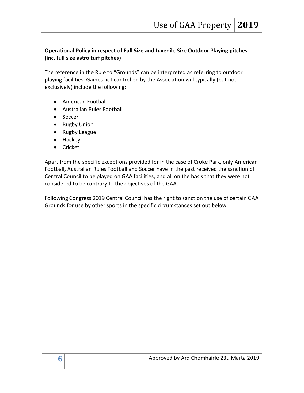# **Operational Policy in respect of Full Size and Juvenile Size Outdoor Playing pitches (inc. full size astro turf pitches)**

The reference in the Rule to "Grounds" can be interpreted as referring to outdoor playing facilities. Games not controlled by the Association will typically (but not exclusively) include the following:

- American Football
- Australian Rules Football
- Soccer
- Rugby Union
- Rugby League
- Hockey
- Cricket

Apart from the specific exceptions provided for in the case of Croke Park, only American Football, Australian Rules Football and Soccer have in the past received the sanction of Central Council to be played on GAA facilities, and all on the basis that they were not considered to be contrary to the objectives of the GAA.

Following Congress 2019 Central Council has the right to sanction the use of certain GAA Grounds for use by other sports in the specific circumstances set out below